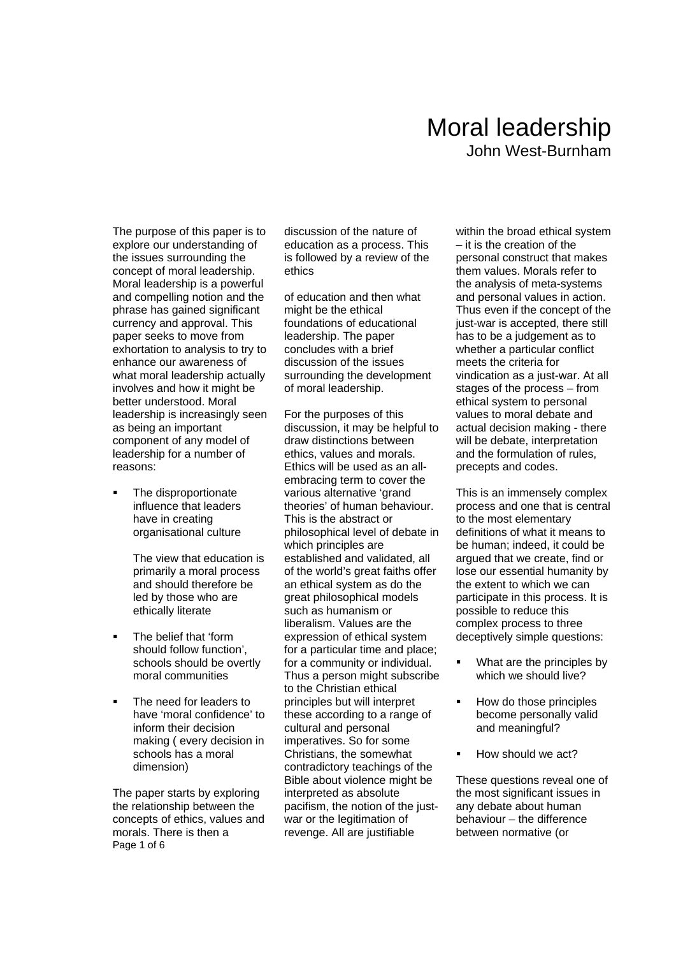## Moral leadership John West-Burnham

The purpose of this paper is to explore our understanding of the issues surrounding the concept of moral leadership. Moral leadership is a powerful and compelling notion and the phrase has gained significant currency and approval. This paper seeks to move from exhortation to analysis to try to enhance our awareness of what moral leadership actually involves and how it might be better understood. Moral leadership is increasingly seen as being an important component of any model of leadership for a number of reasons:

• The disproportionate influence that leaders have in creating organisational culture

> The view that education is primarily a moral process and should therefore be led by those who are ethically literate

- The belief that 'form should follow function', schools should be overtly moral communities
- The need for leaders to have 'moral confidence' to inform their decision making ( every decision in schools has a moral dimension)

Page 1 of 6 The paper starts by exploring the relationship between the concepts of ethics, values and morals. There is then a

discussion of the nature of education as a process. This is followed by a review of the ethics

of education and then what might be the ethical foundations of educational leadership. The paper concludes with a brief discussion of the issues surrounding the development of moral leadership.

For the purposes of this discussion, it may be helpful to draw distinctions between ethics, values and morals. Ethics will be used as an allembracing term to cover the various alternative 'grand theories' of human behaviour. This is the abstract or philosophical level of debate in which principles are established and validated, all of the world's great faiths offer an ethical system as do the great philosophical models such as humanism or liberalism. Values are the expression of ethical system for a particular time and place; for a community or individual. Thus a person might subscribe to the Christian ethical principles but will interpret these according to a range of cultural and personal imperatives. So for some Christians, the somewhat contradictory teachings of the Bible about violence might be interpreted as absolute pacifism, the notion of the justwar or the legitimation of revenge. All are justifiable

within the broad ethical system – it is the creation of the personal construct that makes them values. Morals refer to the analysis of meta-systems and personal values in action. Thus even if the concept of the just-war is accepted, there still has to be a judgement as to whether a particular conflict meets the criteria for vindication as a just-war. At all stages of the process – from ethical system to personal values to moral debate and actual decision making - there will be debate, interpretation and the formulation of rules, precepts and codes.

This is an immensely complex process and one that is central to the most elementary definitions of what it means to be human; indeed, it could be argued that we create, find or lose our essential humanity by the extent to which we can participate in this process. It is possible to reduce this complex process to three deceptively simple questions:

- What are the principles by which we should live?
- How do those principles become personally valid and meaningful?
- How should we act?

These questions reveal one of the most significant issues in any debate about human behaviour – the difference between normative (or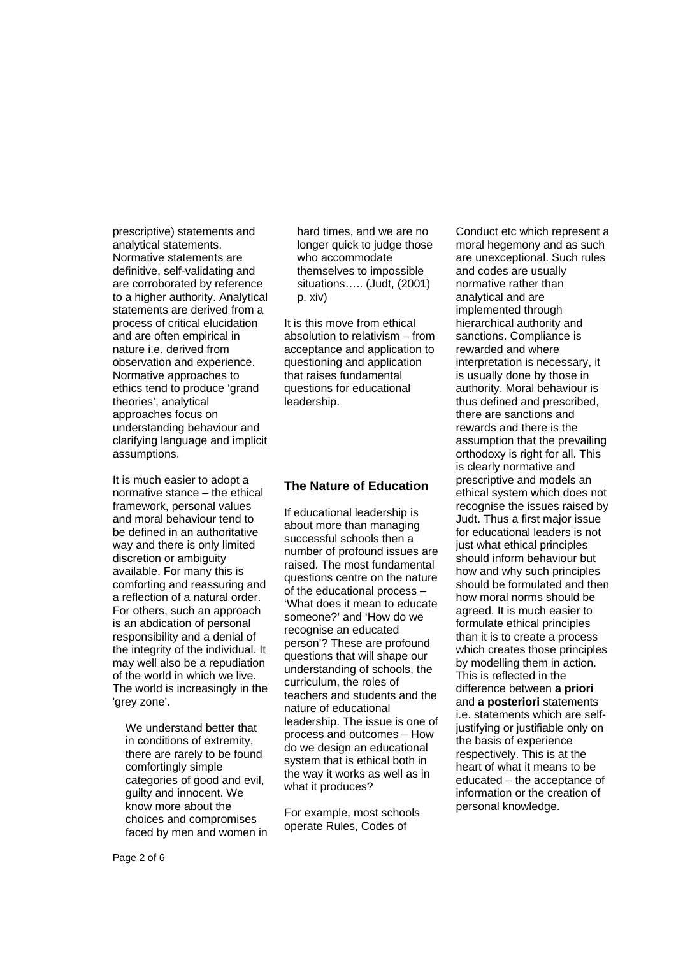prescriptive) statements and analytical statements. Normative statements are definitive, self-validating and are corroborated by reference to a higher authority. Analytical statements are derived from a process of critical elucidation and are often empirical in nature i.e. derived from observation and experience. Normative approaches to ethics tend to produce 'grand theories', analytical approaches focus on understanding behaviour and clarifying language and implicit assumptions.

It is much easier to adopt a normative stance – the ethical framework, personal values and moral behaviour tend to be defined in an authoritative way and there is only limited discretion or ambiguity available. For many this is comforting and reassuring and a reflection of a natural order. For others, such an approach is an abdication of personal responsibility and a denial of the integrity of the individual. It may well also be a repudiation of the world in which we live. The world is increasingly in the 'grey zone'.

We understand better that in conditions of extremity, there are rarely to be found comfortingly simple categories of good and evil, guilty and innocent. We know more about the choices and compromises faced by men and women in hard times, and we are no longer quick to judge those who accommodate themselves to impossible situations….. (Judt, (2001) p. xiv)

It is this move from ethical absolution to relativism – from acceptance and application to questioning and application that raises fundamental questions for educational leadership.

### **The Nature of Education**

If educational leadership is about more than managing successful schools then a number of profound issues are raised. The most fundamental questions centre on the nature of the educational process – 'What does it mean to educate someone?' and 'How do we recognise an educated person'? These are profound questions that will shape our understanding of schools, the curriculum, the roles of teachers and students and the nature of educational leadership. The issue is one of process and outcomes – How do we design an educational system that is ethical both in the way it works as well as in what it produces?

For example, most schools operate Rules, Codes of

Conduct etc which represent a moral hegemony and as such are unexceptional. Such rules and codes are usually normative rather than analytical and are implemented through hierarchical authority and sanctions. Compliance is rewarded and where interpretation is necessary, it is usually done by those in authority. Moral behaviour is thus defined and prescribed, there are sanctions and rewards and there is the assumption that the prevailing orthodoxy is right for all. This is clearly normative and prescriptive and models an ethical system which does not recognise the issues raised by Judt. Thus a first major issue for educational leaders is not just what ethical principles should inform behaviour but how and why such principles should be formulated and then how moral norms should be agreed. It is much easier to formulate ethical principles than it is to create a process which creates those principles by modelling them in action. This is reflected in the difference between **a priori** and **a posteriori** statements i.e. statements which are selfjustifying or justifiable only on the basis of experience respectively. This is at the heart of what it means to be educated – the acceptance of information or the creation of personal knowledge.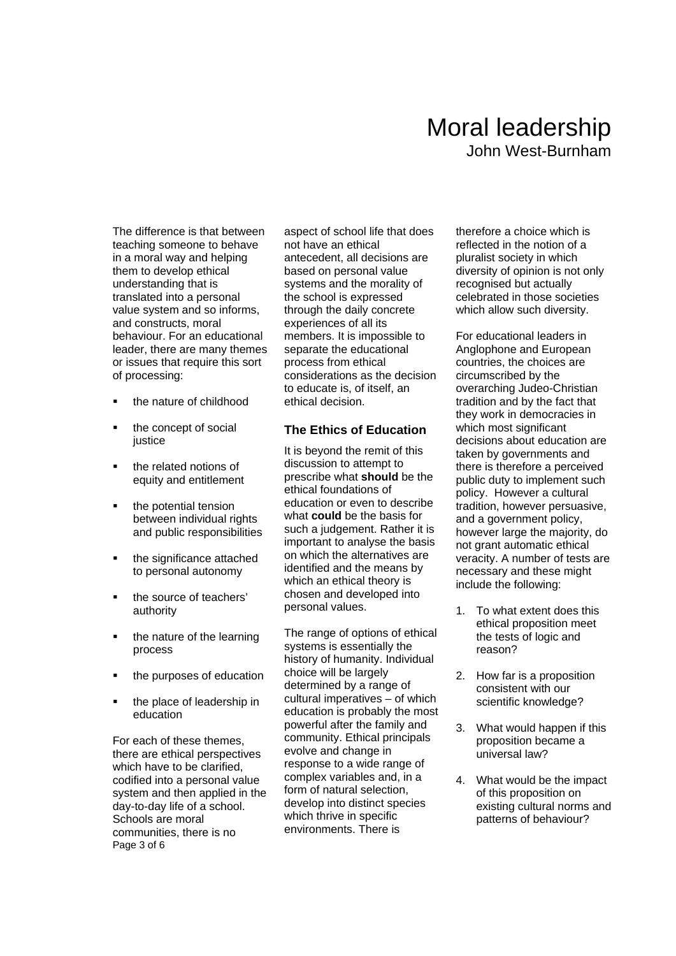# Moral leadership John West-Burnham

The difference is that between teaching someone to behave in a moral way and helping them to develop ethical understanding that is translated into a personal value system and so informs, and constructs, moral behaviour. For an educational leader, there are many themes or issues that require this sort of processing:

- the nature of childhood
- the concept of social iustice
- the related notions of equity and entitlement
- the potential tension between individual rights and public responsibilities
- the significance attached to personal autonomy
- the source of teachers' authority
- the nature of the learning process
- the purposes of education
- the place of leadership in education

Page 3 of 6 For each of these themes, there are ethical perspectives which have to be clarified. codified into a personal value system and then applied in the day-to-day life of a school. Schools are moral communities, there is no

aspect of school life that does not have an ethical antecedent, all decisions are based on personal value systems and the morality of the school is expressed through the daily concrete experiences of all its members. It is impossible to separate the educational process from ethical considerations as the decision to educate is, of itself, an ethical decision.

### **The Ethics of Education**

It is beyond the remit of this discussion to attempt to prescribe what **should** be the ethical foundations of education or even to describe what **could** be the basis for such a judgement. Rather it is important to analyse the basis on which the alternatives are identified and the means by which an ethical theory is chosen and developed into personal values.

The range of options of ethical systems is essentially the history of humanity. Individual choice will be largely determined by a range of cultural imperatives – of which education is probably the most powerful after the family and community. Ethical principals evolve and change in response to a wide range of complex variables and, in a form of natural selection, develop into distinct species which thrive in specific environments. There is

therefore a choice which is reflected in the notion of a pluralist society in which diversity of opinion is not only recognised but actually celebrated in those societies which allow such diversity.

For educational leaders in Anglophone and European countries, the choices are circumscribed by the overarching Judeo-Christian tradition and by the fact that they work in democracies in which most significant decisions about education are taken by governments and there is therefore a perceived public duty to implement such policy. However a cultural tradition, however persuasive, and a government policy, however large the majority, do not grant automatic ethical veracity. A number of tests are necessary and these might include the following:

- 1. To what extent does this ethical proposition meet the tests of logic and reason?
- 2. How far is a proposition consistent with our scientific knowledge?
- 3. What would happen if this proposition became a universal law?
- 4. What would be the impact of this proposition on existing cultural norms and patterns of behaviour?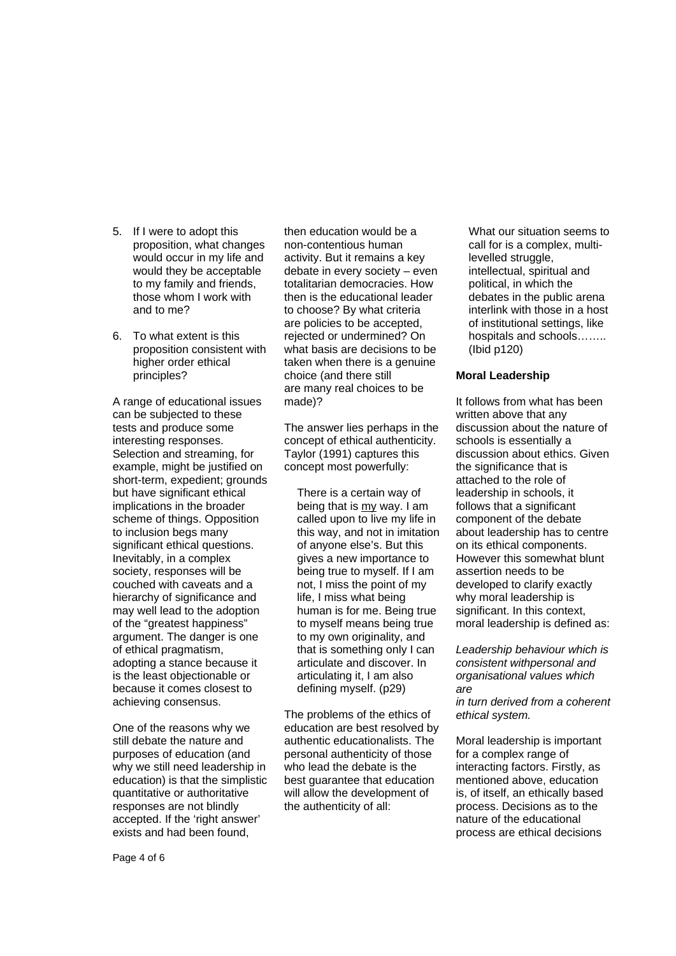- 5. If I were to adopt this proposition, what changes would occur in my life and would they be acceptable to my family and friends, those whom I work with and to me?
- 6. To what extent is this proposition consistent with higher order ethical principles?

A range of educational issues can be subjected to these tests and produce some interesting responses. Selection and streaming, for example, might be justified on short-term, expedient; grounds but have significant ethical implications in the broader scheme of things. Opposition to inclusion begs many significant ethical questions. Inevitably, in a complex society, responses will be couched with caveats and a hierarchy of significance and may well lead to the adoption of the "greatest happiness" argument. The danger is one of ethical pragmatism, adopting a stance because it is the least objectionable or because it comes closest to achieving consensus.

One of the reasons why we still debate the nature and purposes of education (and why we still need leadership in education) is that the simplistic quantitative or authoritative responses are not blindly accepted. If the 'right answer' exists and had been found,

then education would be a non-contentious human activity. But it remains a key debate in every society – even totalitarian democracies. How then is the educational leader to choose? By what criteria are policies to be accepted, rejected or undermined? On what basis are decisions to be taken when there is a genuine choice (and there still are many real choices to be made)?

The answer lies perhaps in the concept of ethical authenticity. Taylor (1991) captures this concept most powerfully:

There is a certain way of being that is my way. I am called upon to live my life in this way, and not in imitation of anyone else's. But this gives a new importance to being true to myself. If I am not, I miss the point of my life, I miss what being human is for me. Being true to myself means being true to my own originality, and that is something only I can articulate and discover. In articulating it, I am also defining myself. (p29)

The problems of the ethics of education are best resolved by authentic educationalists. The personal authenticity of those who lead the debate is the best guarantee that education will allow the development of the authenticity of all:

What our situation seems to call for is a complex, multilevelled struggle, intellectual, spiritual and political, in which the debates in the public arena interlink with those in a host of institutional settings, like hospitals and schools…….. (Ibid p120)

#### **Moral Leadership**

It follows from what has been written above that any discussion about the nature of schools is essentially a discussion about ethics. Given the significance that is attached to the role of leadership in schools, it follows that a significant component of the debate about leadership has to centre on its ethical components. However this somewhat blunt assertion needs to be developed to clarify exactly why moral leadership is significant. In this context, moral leadership is defined as:

*Leadership behaviour which is consistent withpersonal and organisational values which are in turn derived from a coherent ethical system.* 

Moral leadership is important for a complex range of interacting factors. Firstly, as mentioned above, education is, of itself, an ethically based process. Decisions as to the nature of the educational process are ethical decisions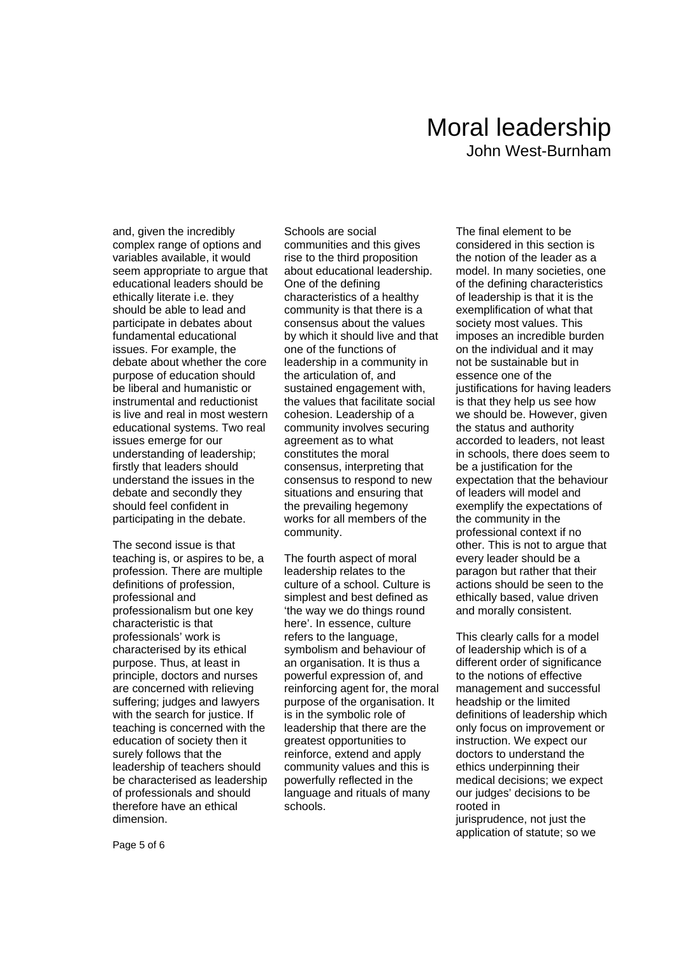## Moral leadership John West-Burnham

and, given the incredibly complex range of options and variables available, it would seem appropriate to argue that educational leaders should be ethically literate i.e. they should be able to lead and participate in debates about fundamental educational issues. For example, the debate about whether the core purpose of education should be liberal and humanistic or instrumental and reductionist is live and real in most western educational systems. Two real issues emerge for our understanding of leadership; firstly that leaders should understand the issues in the debate and secondly they should feel confident in participating in the debate.

The second issue is that teaching is, or aspires to be, a profession. There are multiple definitions of profession, professional and professionalism but one key characteristic is that professionals' work is characterised by its ethical purpose. Thus, at least in principle, doctors and nurses are concerned with relieving suffering; judges and lawyers with the search for justice. If teaching is concerned with the education of society then it surely follows that the leadership of teachers should be characterised as leadership of professionals and should therefore have an ethical dimension.

Schools are social communities and this gives rise to the third proposition about educational leadership. One of the defining characteristics of a healthy community is that there is a consensus about the values by which it should live and that one of the functions of leadership in a community in the articulation of, and sustained engagement with, the values that facilitate social cohesion. Leadership of a community involves securing agreement as to what constitutes the moral consensus, interpreting that consensus to respond to new situations and ensuring that the prevailing hegemony works for all members of the community.

The fourth aspect of moral leadership relates to the culture of a school. Culture is simplest and best defined as 'the way we do things round here'. In essence, culture refers to the language, symbolism and behaviour of an organisation. It is thus a powerful expression of, and reinforcing agent for, the moral purpose of the organisation. It is in the symbolic role of leadership that there are the greatest opportunities to reinforce, extend and apply community values and this is powerfully reflected in the language and rituals of many schools.

The final element to be considered in this section is the notion of the leader as a model. In many societies, one of the defining characteristics of leadership is that it is the exemplification of what that society most values. This imposes an incredible burden on the individual and it may not be sustainable but in essence one of the justifications for having leaders is that they help us see how we should be. However, given the status and authority accorded to leaders, not least in schools, there does seem to be a justification for the expectation that the behaviour of leaders will model and exemplify the expectations of the community in the professional context if no other. This is not to argue that every leader should be a paragon but rather that their actions should be seen to the ethically based, value driven and morally consistent.

This clearly calls for a model of leadership which is of a different order of significance to the notions of effective management and successful headship or the limited definitions of leadership which only focus on improvement or instruction. We expect our doctors to understand the ethics underpinning their medical decisions; we expect our judges' decisions to be rooted in

jurisprudence, not just the application of statute; so we

Page 5 of 6